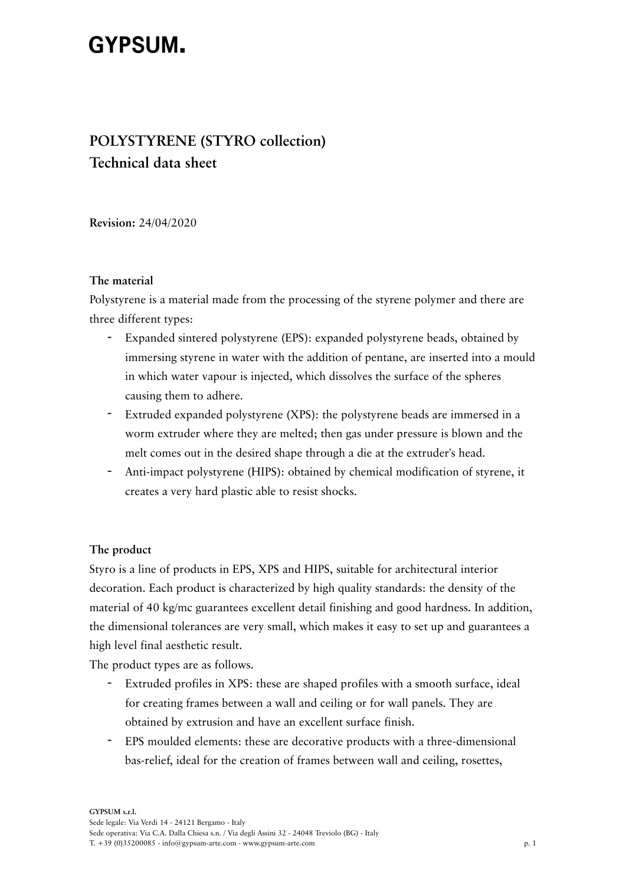# **GYPSUM.**

# **POLYSTYRENE (STYRO collection) Technical data sheet**

**Revision:** 24/04/2020

## **The material**

Polystyrene is a material made from the processing of the styrene polymer and there are three different types:

- Expanded sintered polystyrene (EPS): expanded polystyrene beads, obtained by immersing styrene in water with the addition of pentane, are inserted into a mould in which water vapour is injected, which dissolves the surface of the spheres causing them to adhere.
- Extruded expanded polystyrene (XPS): the polystyrene beads are immersed in a worm extruder where they are melted; then gas under pressure is blown and the melt comes out in the desired shape through a die at the extruder's head.
- Anti-impact polystyrene (HIPS): obtained by chemical modification of styrene, it creates a very hard plastic able to resist shocks.

# **The product**

Styro is a line of products in EPS, XPS and HIPS, suitable for architectural interior decoration. Each product is characterized by high quality standards: the density of the material of 40 kg/mc guarantees excellent detail finishing and good hardness. In addition, the dimensional tolerances are very small, which makes it easy to set up and guarantees a high level final aesthetic result.

The product types are as follows.

- Extruded profiles in XPS: these are shaped profiles with a smooth surface, ideal for creating frames between a wall and ceiling or for wall panels. They are obtained by extrusion and have an excellent surface finish.
- EPS moulded elements: these are decorative products with a three-dimensional bas-relief, ideal for the creation of frames between wall and ceiling, rosettes,